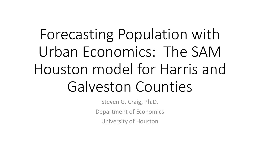# Forecasting Population with Urban Economics: The SAM Houston model for Harris and Galveston Counties

Steven G. Craig, Ph.D. Department of Economics University of Houston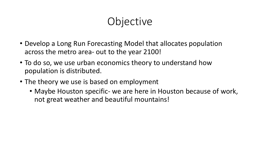## **Objective**

- Develop a Long Run Forecasting Model that allocates population across the metro area- out to the year 2100!
- To do so, we use urban economics theory to understand how population is distributed.
- The theory we use is based on employment
	- Maybe Houston specific- we are here in Houston because of work, not great weather and beautiful mountains!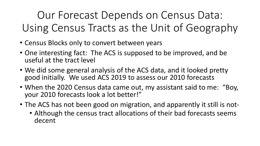Our Forecast Depends on Census Data: Using Census Tracts as the Unit of Geography

- Census Blocks only to convert between years
- One interesting fact: The ACS is supposed to be improved, and be useful at the tract level
- We did some general analysis of the ACS data, and it looked pretty good initially. We used ACS 2019 to assess our 2010 forecasts
- When the 2020 Census data came out, my assistant said to me: "Boy, your 2010 forecasts look a lot better!"
- The ACS has not been good on migration, and apparently it still is not-
	- Although the census tract allocations of their bad forecasts seems decent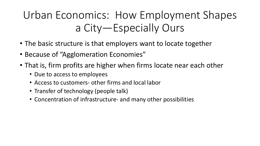# Urban Economics: How Employment Shapes a City—Especially Ours

- The basic structure is that employers want to locate together
- Because of "Agglomeration Economies"
- That is, firm profits are higher when firms locate near each other
	- Due to access to employees
	- Access to customers- other firms and local labor
	- Transfer of technology (people talk)
	- Concentration of infrastructure- and many other possibilities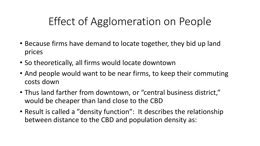## Effect of Agglomeration on People

- Because firms have demand to locate together, they bid up land prices
- So theoretically, all firms would locate downtown
- And people would want to be near firms, to keep their commuting costs down
- Thus land farther from downtown, or "central business district," would be cheaper than land close to the CBD
- Result is called a "density function": It describes the relationship between distance to the CBD and population density as: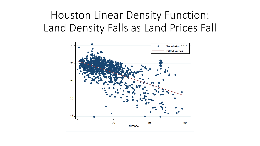## Houston Linear Density Function: Land Density Falls as Land Prices Fall

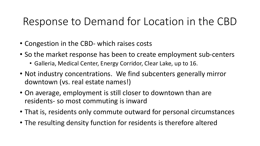#### Response to Demand for Location in the CBD

- Congestion in the CBD- which raises costs
- So the market response has been to create employment sub-centers
	- Galleria, Medical Center, Energy Corridor, Clear Lake, up to 16.
- Not industry concentrations. We find subcenters generally mirror downtown (vs. real estate names!)
- On average, employment is still closer to downtown than are residents- so most commuting is inward
- That is, residents only commute outward for personal circumstances
- The resulting density function for residents is therefore altered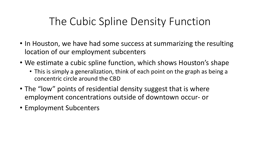#### The Cubic Spline Density Function

- In Houston, we have had some success at summarizing the resulting location of our employment subcenters
- We estimate a cubic spline function, which shows Houston's shape
	- This is simply a generalization, think of each point on the graph as being a concentric circle around the CBD
- The "low" points of residential density suggest that is where employment concentrations outside of downtown occur- or
- Employment Subcenters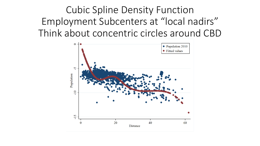Cubic Spline Density Function Employment Subcenters at "local nadirs" Think about concentric circles around CBD

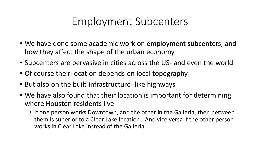#### Employment Subcenters

- We have done some academic work on employment subcenters, and how they affect the shape of the urban economy
- Subcenters are pervasive in cities across the US- and even the world
- Of course their location depends on local topography
- But also on the built infrastructure- like highways
- We have also found that their location is important for determining where Houston residents live
	- If one person works Downtown, and the other in the Galleria, then between them is superior to a Clear Lake location! And vice versa if the other person works in Clear Lake instead of the Galleria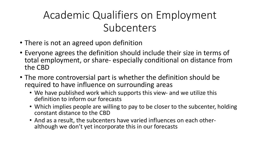# Academic Qualifiers on Employment Subcenters

- There is not an agreed upon definition
- Everyone agrees the definition should include their size in terms of total employment, or share- especially conditional on distance from the CBD
- The more controversial part is whether the definition should be required to have influence on surrounding areas
	- We have published work which supports this view- and we utilize this definition to inform our forecasts
	- Which implies people are willing to pay to be closer to the subcenter, holding constant distance to the CBD
	- And as a result, the subcenters have varied influences on each other-<br>although we don't yet incorporate this in our forecasts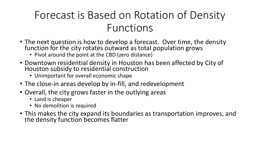## Forecast is Based on Rotation of Density Functions

- The next question is how to develop a forecast. Over time, the density function for the city rotates outward as total population grows
	- Pivot around the point at the CBD (zero distance)
- Downtown residential density in Houston has been affected by City of Houston subsidy to residential construction
	- Unimportant for overall economic shape
- The close-in areas develop by in-fill, and redevelopment
- Overall, the city grows faster in the outlying areas
	- Land is cheaper
	- No demolition is required
- This makes the city expand its boundaries as transportation improves, and the density function becomes flatter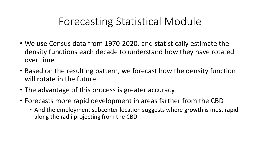#### Forecasting Statistical Module

- We use Census data from 1970-2020, and statistically estimate the density functions each decade to understand how they have rotated over time
- Based on the resulting pattern, we forecast how the density function will rotate in the future
- The advantage of this process is greater accuracy
- Forecasts more rapid development in areas farther from the CBD
	- And the employment subcenter location suggests where growth is most rapid along the radii projecting from the CBD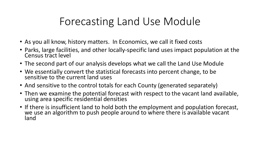#### Forecasting Land Use Module

- As you all know, history matters. In Economics, we call it fixed costs
- Parks, large facilities, and other locally-specific land uses impact population at the Census tract level
- The second part of our analysis develops what we call the Land Use Module
- We essentially convert the statistical forecasts into percent change, to be sensitive to the current land uses
- And sensitive to the control totals for each County (generated separately)
- Then we examine the potential forecast with respect to the vacant land available, using area specific residential densities
- If there is insufficient land to hold both the employment and population forecast, we use an algorithm to push people around to where there is available vacant land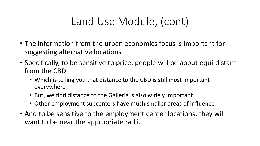## Land Use Module, (cont)

- The information from the urban economics focus is important for suggesting alternative locations
- Specifically, to be sensitive to price, people will be about equi-distant from the CBD
	- Which is telling you that distance to the CBD is still most important everywhere
	- But, we find distance to the Galleria is also widely important
	- Other employment subcenters have much smaller areas of influence
- And to be sensitive to the employment center locations, they will want to be near the appropriate radii.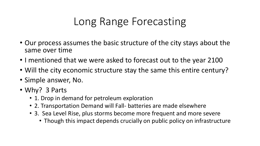## Long Range Forecasting

- Our process assumes the basic structure of the city stays about the same over time
- I mentioned that we were asked to forecast out to the year 2100
- Will the city economic structure stay the same this entire century?
- Simple answer, No.
- Why? 3 Parts
	- 1. Drop in demand for petroleum exploration
	- 2. Transportation Demand will Fall- batteries are made elsewhere
	- 3. Sea Level Rise, plus storms become more frequent and more severe
		- Though this impact depends crucially on public policy on infrastructure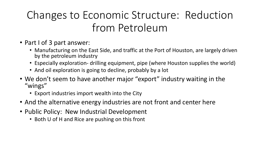# Changes to Economic Structure: Reduction from Petroleum

- Part I of 3 part answer:
	- Manufacturing on the East Side, and traffic at the Port of Houston, are largely driven by the petroleum industry
	- Especially exploration- drilling equipment, pipe (where Houston supplies the world)
	- And oil exploration is going to decline, probably by a lot
- We don't seem to have another major "export" industry waiting in the "wings"
	- Export industries import wealth into the City
- And the alternative energy industries are not front and center here
- Public Policy: New Industrial Development
	- Both U of H and Rice are pushing on this front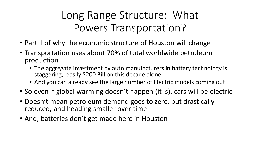## Long Range Structure: What Powers Transportation?

- Part II of why the economic structure of Houston will change
- Transportation uses about 70% of total worldwide petroleum production
	- The aggregate investment by auto manufacturers in battery technology is staggering; easily \$200 Billion this decade alone
	- And you can already see the large number of Electric models coming out
- So even if global warming doesn't happen (it is), cars will be electric
- Doesn't mean petroleum demand goes to zero, but drastically reduced, and heading smaller over time
- And, batteries don't get made here in Houston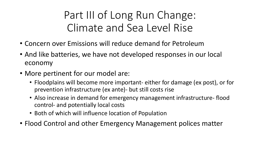Part III of Long Run Change: Climate and Sea Level Rise

- Concern over Emissions will reduce demand for Petroleum
- And like batteries, we have not developed responses in our local economy
- More pertinent for our model are:
	- Floodplains will become more important- either for damage (ex post), or for prevention infrastructure (ex ante)- but still costs rise
	- Also increase in demand for emergency management infrastructure- flood control- and potentially local costs
	- Both of which will influence location of Population
- Flood Control and other Emergency Management polices matter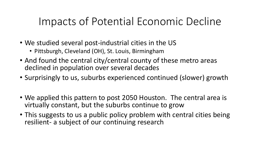#### Impacts of Potential Economic Decline

- We studied several post-industrial cities in the US
	- Pittsburgh, Cleveland (OH), St. Louis, Birmingham
- And found the central city/central county of these metro areas declined in population over several decades
- Surprisingly to us, suburbs experienced continued (slower) growth
- We applied this pattern to post 2050 Houston. The central area is virtually constant, but the suburbs continue to grow
- This suggests to us a public policy problem with central cities being resilient- a subject of our continuing research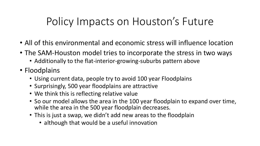## Policy Impacts on Houston's Future

- All of this environmental and economic stress will influence location
- The SAM-Houston model tries to incorporate the stress in two ways
	- Additionally to the flat-interior-growing-suburbs pattern above
- Floodplains
	- Using current data, people try to avoid 100 year Floodplains
	- Surprisingly, 500 year floodplains are attractive
	- We think this is reflecting relative value
	- So our model allows the area in the 100 year floodplain to expand over time, while the area in the 500 year floodplain decreases.
	- This is just a swap, we didn't add new areas to the floodplain
		- although that would be a useful innovation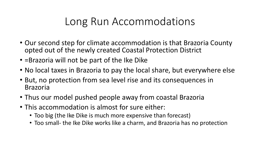#### Long Run Accommodations

- Our second step for climate accommodation is that Brazoria County opted out of the newly created Coastal Protection District
- =Brazoria will not be part of the Ike Dike
- No local taxes in Brazoria to pay the local share, but everywhere else
- But, no protection from sea level rise and its consequences in Brazoria
- Thus our model pushed people away from coastal Brazoria
- This accommodation is almost for sure either:
	- Too big (the Ike Dike is much more expensive than forecast)
	- Too small- the Ike Dike works like a charm, and Brazoria has no protection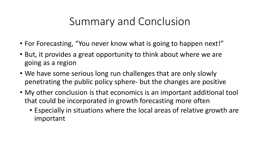#### Summary and Conclusion

- For Forecasting, "You never know what is going to happen next!"
- But, it provides a great opportunity to think about where we are going as a region
- We have some serious long run challenges that are only slowly penetrating the public policy sphere- but the changes are positive
- My other conclusion is that economics is an important additional tool that could be incorporated in growth forecasting more often
	- Especially in situations where the local areas of relative growth are important